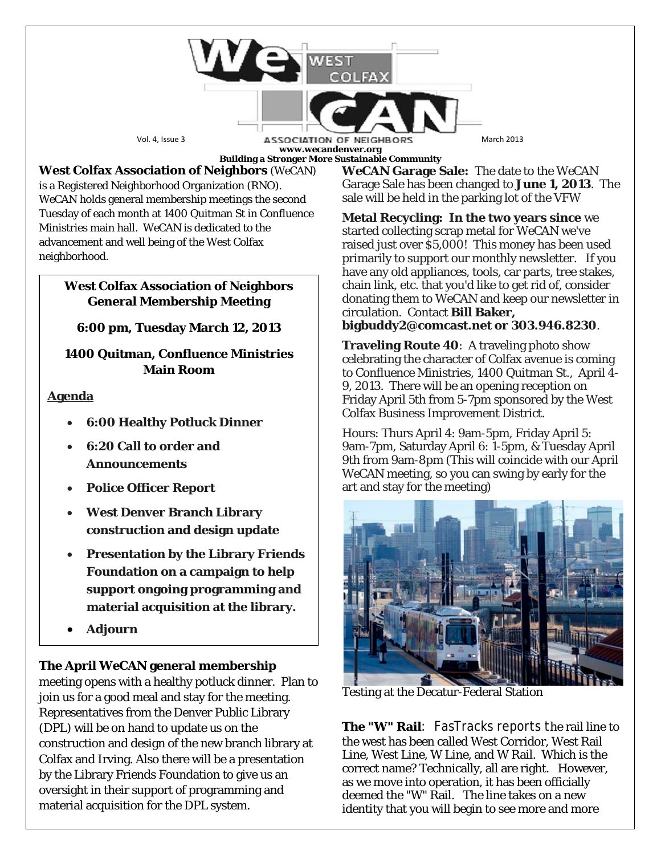Vol. 4, Issue 3 **ASSOCIATION OF NEIGHBORS** March 2013 **www.wecandenver.org Building a Stronger More Sustainable Community**

**West Colfax Association of Neighbors** (*WeCAN*) is a Registered Neighborhood Organization (RNO). *WeCAN* holds general membership meetings the second Tuesday of each month at 1400 Quitman St in Confluence Ministries main hall. *WeCAN* is dedicated to the advancement and well being of the West Colfax neighborhood.

## **West Colfax Association of Neighbors General Membership Meeting**

**6:00 pm, Tuesday March 12, 2013**

## **1400 Quitman, Confluence Ministries Main Room**

# **Agenda**

- **6:00 Healthy Potluck Dinner**
- **6:20 Call to order and Announcements**
- **Police Officer Report**
- **West Denver Branch Library construction and design update**
- **Presentation by the Library Friends Foundation on a campaign to help support ongoing programming and material acquisition at the library.**
- **Adjourn**

# **The April** *WeCAN* **general membership**

meeting opens with a healthy potluck dinner. Plan to join us for a good meal and stay for the meeting. Representatives from the Denver Public Library (DPL) will be on hand to update us on the construction and design of the new branch library at Colfax and Irving. Also there will be a presentation by the Library Friends Foundation to give us an oversight in their support of programming and material acquisition for the DPL system.

*WeCAN* **Garage Sale:** The date to the *WeCAN*  Garage Sale has been changed to **June 1, 2013**. The sale will be held in the parking lot of the VFW

**Metal Recycling: In the two years since** we started collecting scrap metal for WeCAN we've raised just over \$5,000! This money has been used primarily to support our monthly newsletter. If you have any old appliances, tools, car parts, tree stakes, chain link, etc. that you'd like to get rid of, consider donating them to WeCAN and keep our newsletter in circulation. Contact **Bill Baker, bigbuddy2@comcast.net or 303.946.8230**.

**Traveling Route 40**: A traveling photo show celebrating the character of Colfax avenue is coming to Confluence Ministries, 1400 Quitman St., April 4- 9, 2013. There will be an opening reception on Friday April 5th from 5-7pm sponsored by the West Colfax Business Improvement District.

Hours: Thurs April 4: 9am-5pm, Friday April 5: 9am-7pm, Saturday April 6: 1-5pm, & Tuesday April 9th from 9am-8pm (This will coincide with our April *WeCAN* meeting, so you can swing by early for the art and stay for the meeting)



Testing at the Decatur-Federal Station

**The "W" Rail**: FasTracks reports the rail line to the west has been called West Corridor, West Rail Line, West Line, W Line, and W Rail. Which is the correct name? Technically, all are right. However, as we move into operation, it has been officially deemed the "W" Rail. The line takes on a new identity that you will begin to see more and more